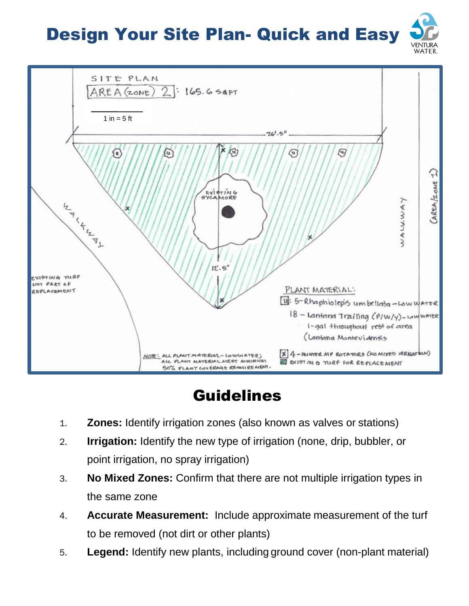## Design Your Site Plan- Quick and Easy





## Guidelines

- 1. **Zones:** Identify irrigation zones (also known as valves or stations)
- 2. **Irrigation:** Identify the new type of irrigation (none, drip, bubbler, or point irrigation, no spray irrigation)
- 3. **No Mixed Zones:** Confirm that there are not multiple irrigation types in the same zone
- 4. **Accurate Measurement:** Include approximate measurement of the turf to be removed (not dirt or other plants)
- 5. **Legend:** Identify new plants, including ground cover (non-plant material)